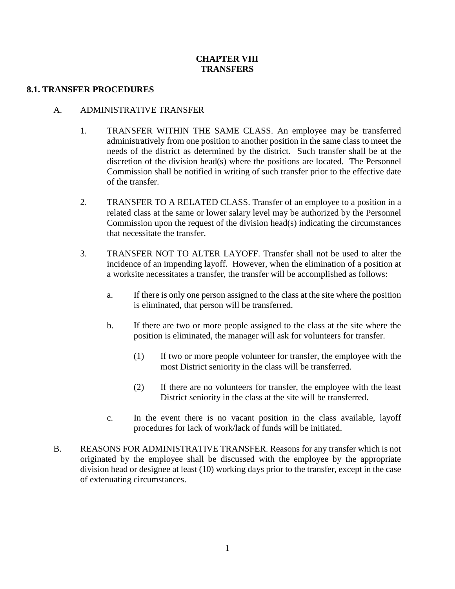# **CHAPTER VIII TRANSFERS**

### **8.1. TRANSFER PROCEDURES**

### A. ADMINISTRATIVE TRANSFER

- 1. TRANSFER WITHIN THE SAME CLASS. An employee may be transferred administratively from one position to another position in the same class to meet the needs of the district as determined by the district. Such transfer shall be at the discretion of the division head(s) where the positions are located. The Personnel Commission shall be notified in writing of such transfer prior to the effective date of the transfer.
- 2. TRANSFER TO A RELATED CLASS. Transfer of an employee to a position in a related class at the same or lower salary level may be authorized by the Personnel Commission upon the request of the division head(s) indicating the circumstances that necessitate the transfer.
- 3. TRANSFER NOT TO ALTER LAYOFF. Transfer shall not be used to alter the incidence of an impending layoff. However, when the elimination of a position at a worksite necessitates a transfer, the transfer will be accomplished as follows:
	- a. If there is only one person assigned to the class at the site where the position is eliminated, that person will be transferred.
	- b. If there are two or more people assigned to the class at the site where the position is eliminated, the manager will ask for volunteers for transfer.
		- (1) If two or more people volunteer for transfer, the employee with the most District seniority in the class will be transferred.
		- (2) If there are no volunteers for transfer, the employee with the least District seniority in the class at the site will be transferred.
	- c. In the event there is no vacant position in the class available, layoff procedures for lack of work/lack of funds will be initiated.
- B. REASONS FOR ADMINISTRATIVE TRANSFER. Reasons for any transfer which is not originated by the employee shall be discussed with the employee by the appropriate division head or designee at least (10) working days prior to the transfer, except in the case of extenuating circumstances.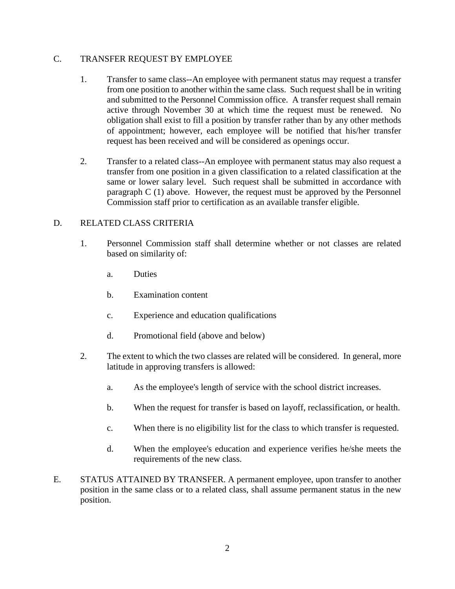# C. TRANSFER REQUEST BY EMPLOYEE

- 1. Transfer to same class--An employee with permanent status may request a transfer from one position to another within the same class. Such request shall be in writing and submitted to the Personnel Commission office. A transfer request shall remain active through November 30 at which time the request must be renewed. No obligation shall exist to fill a position by transfer rather than by any other methods of appointment; however, each employee will be notified that his/her transfer request has been received and will be considered as openings occur.
- 2. Transfer to a related class--An employee with permanent status may also request a transfer from one position in a given classification to a related classification at the same or lower salary level. Such request shall be submitted in accordance with paragraph C (1) above. However, the request must be approved by the Personnel Commission staff prior to certification as an available transfer eligible.

### D. RELATED CLASS CRITERIA

- 1. Personnel Commission staff shall determine whether or not classes are related based on similarity of:
	- a. Duties
	- b. Examination content
	- c. Experience and education qualifications
	- d. Promotional field (above and below)
- 2. The extent to which the two classes are related will be considered. In general, more latitude in approving transfers is allowed:
	- a. As the employee's length of service with the school district increases.
	- b. When the request for transfer is based on layoff, reclassification, or health.
	- c. When there is no eligibility list for the class to which transfer is requested.
	- d. When the employee's education and experience verifies he/she meets the requirements of the new class.
- E. STATUS ATTAINED BY TRANSFER. A permanent employee, upon transfer to another position in the same class or to a related class, shall assume permanent status in the new position.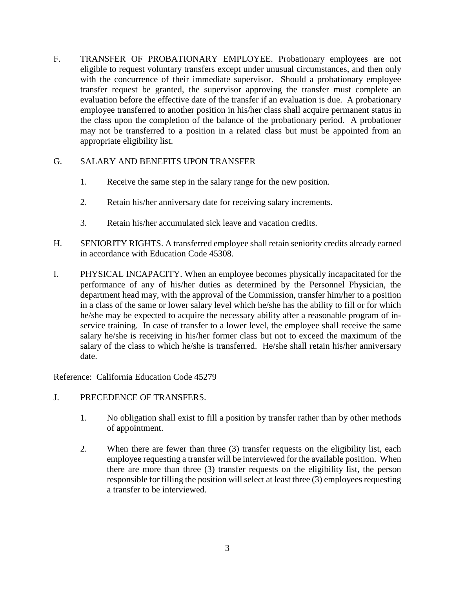F. TRANSFER OF PROBATIONARY EMPLOYEE. Probationary employees are not eligible to request voluntary transfers except under unusual circumstances, and then only with the concurrence of their immediate supervisor. Should a probationary employee transfer request be granted, the supervisor approving the transfer must complete an evaluation before the effective date of the transfer if an evaluation is due. A probationary employee transferred to another position in his/her class shall acquire permanent status in the class upon the completion of the balance of the probationary period. A probationer may not be transferred to a position in a related class but must be appointed from an appropriate eligibility list.

## G. SALARY AND BENEFITS UPON TRANSFER

- 1. Receive the same step in the salary range for the new position.
- 2. Retain his/her anniversary date for receiving salary increments.
- 3. Retain his/her accumulated sick leave and vacation credits.
- H. SENIORITY RIGHTS. A transferred employee shall retain seniority credits already earned in accordance with Education Code 45308.
- I. PHYSICAL INCAPACITY. When an employee becomes physically incapacitated for the performance of any of his/her duties as determined by the Personnel Physician, the department head may, with the approval of the Commission, transfer him/her to a position in a class of the same or lower salary level which he/she has the ability to fill or for which he/she may be expected to acquire the necessary ability after a reasonable program of inservice training. In case of transfer to a lower level, the employee shall receive the same salary he/she is receiving in his/her former class but not to exceed the maximum of the salary of the class to which he/she is transferred. He/she shall retain his/her anniversary date.

Reference: California Education Code 45279

- J. PRECEDENCE OF TRANSFERS.
	- 1. No obligation shall exist to fill a position by transfer rather than by other methods of appointment.
	- 2. When there are fewer than three (3) transfer requests on the eligibility list, each employee requesting a transfer will be interviewed for the available position. When there are more than three (3) transfer requests on the eligibility list, the person responsible for filling the position will select at least three (3) employees requesting a transfer to be interviewed.